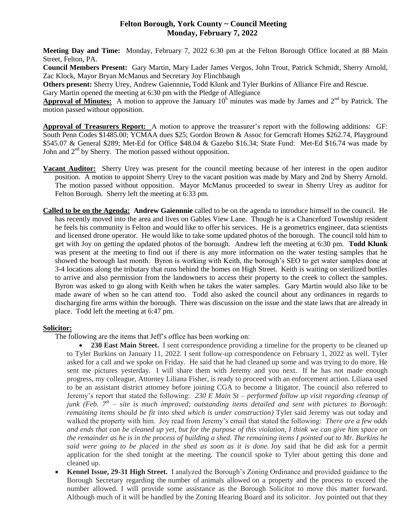# **Felton Borough, York County ~ Council Meeting Monday, February 7, 2022**

**Meeting Day and Time:** Monday, February 7, 2022 6:30 pm at the Felton Borough Office located at 88 Main Street, Felton, PA.

**Council Members Present:** Gary Martin, Mary Lader James Vergos, John Trout, Patrick Schmidt, Sherry Arnold, Zac Klock, Mayor Bryan McManus and Secretary Joy Flinchbaugh

**Others present:** Sherry Urey, Andrew Gaiennnie**,** Todd Klunk and Tyler Burkins of Alliance Fire and Rescue.

Gary Martin opened the meeting at 6:30 pm with the Pledge of Allegiance

Approval of Minutes: A motion to approve the January 10<sup>h</sup> minutes was made by James and 2<sup>nd</sup> by Patrick. The motion passed without opposition.

**Approval of Treasurers Report:** A motion to approve the treasurer's report with the following additions: GF: South Penn Codes \$1485.00; YCMAA dues \$25; Gordon Brown & Assoc for Gemcraft Homes \$262.74, Playground \$545.07 & General \$289; Met-Ed for Office \$48.04 & Gazebo \$16.34; State Fund: Met-Ed \$16.74 was made by John and  $2<sup>nd</sup>$  by Sherry. The motion passed without opposition.

- **Vacant Auditor:** Sherry Urey was present for the council meeting because of her interest in the open auditor position. A motion to appoint Sherry Urey to the vacant position was made by Mary and 2nd by Sherry Arnold. The motion passed without opposition. Mayor McManus proceeded to swear in Sherry Urey as auditor for Felton Borough. Sherry left the meeting at 6:33 pm.
- **Called to be on the Agenda: Andrew Gaiennnie** called to be on the agenda to introduce himself to the council. He has recently moved into the area and lives on Gables View Lane. Though he is a Chanceford Township resident he feels his community is Felton and would like to offer his services. He is a geometrics engineer, data scientists and licensed drone operator. He would like to take some updated photos of the borough. The council told him to get with Joy on getting the updated photos of the borough. Andrew left the meeting at 6:30 pm. **Todd Klunk** was present at the meeting to find out if there is any more information on the water testing samples that he showed the borough last month. Byron is working with Keith, the borough's SEO to get water samples done at 3-4 locations along the tributary that runs behind the homes on High Street. Keith is waiting on sterilized bottles to arrive and also permission from the landowners to access their property to the creek to collect the samples. Byron was asked to go along with Keith when he takes the water samples. Gary Martin would also like to be made aware of when so he can attend too. Todd also asked the council about any ordinances in regards to discharging fire arms within the borough. There was discussion on the issue and the state laws that are already in place. Todd left the meeting at 6:47 pm.

### **Solicitor:**

The following are the items that Jeff's office has been working on:

- 230 East Main Street. I sent correspondence providing a timeline for the property to be cleaned up to Tyler Burkins on January 11, 2022. I sent follow-up correspondence on February 1, 2022 as well. Tyler asked for a call and we spoke on Friday. He said that he had cleaned up some and was trying to do more. He sent me pictures yesterday. I will share them with Jeremy and you next. If he has not made enough progress, my colleague, Attorney Liliana Fisher, is ready to proceed with an enforcement action. Liliana used to be an assistant district attorney before joining CGA to become a litigator. The council also referred to Jeremy's report that stated the following: *230 E Main St – performed follow up visit regarding cleanup of junk (Feb. 7th – site is much improved; outstanding items detailed and sent with pictures to Borough: remaining items should be fit into shed which is under construction)* Tyler said Jeremy was out today and walked the property with him. Joy read from Jeremy's email that stated the following: *There are a few odds and ends that can be cleaned up yet, but for the purpose of this violation, I think we can give him space on the remainder as he is in the process of building a shed. The remaining items I pointed out to Mr. Burkins he said were going to be placed in the shed as soon as it is done.* Joy said that he did ask for a permit application for the shed tonight at the meeting. The council spoke to Tyler about getting this done and cleaned up.
- **Kennel Issue, 29-31 High Street.** I analyzed the Borough's Zoning Ordinance and provided guidance to the Borough Secretary regarding the number of animals allowed on a property and the process to exceed the number allowed. I will provide some assistance as the Borough Solicitor to move this matter forward. Although much of it will be handled by the Zoning Hearing Board and its solicitor. Joy pointed out that they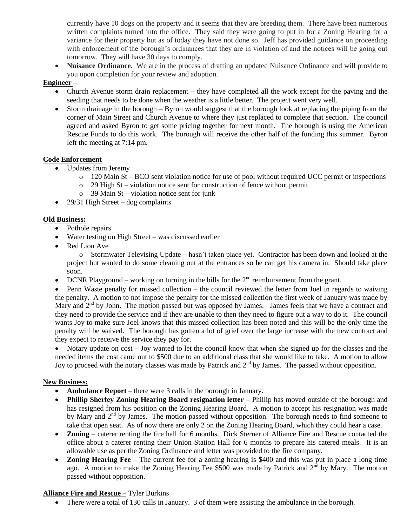currently have 10 dogs on the property and it seems that they are breeding them. There have been numerous written complaints turned into the office. They said they were going to put in for a Zoning Hearing for a variance for their property but as of today they have not done so. Jeff has provided guidance on proceeding with enforcement of the borough's ordinances that they are in violation of and the notices will be going out tomorrow. They will have 30 days to comply.

 **Nuisance Ordinance.** We are in the process of drafting an updated Nuisance Ordinance and will provide to you upon completion for your review and adoption.

## **Engineer** –

- Church Avenue storm drain replacement they have completed all the work except for the paving and the seeding that needs to be done when the weather is a little better. The project went very well.
- Storm drainage in the borough Byron would suggest that the borough look at replacing the piping from the corner of Main Street and Church Avenue to where they just replaced to complete that section. The council agreed and asked Byron to get some pricing together for next month. The borough is using the American Rescue Funds to do this work. The borough will receive the other half of the funding this summer. Byron left the meeting at 7:14 pm.

## **Code Enforcement**

- Updates from Jeremy
	- o 120 Main St BCO sent violation notice for use of pool without required UCC permit or inspections
	- o 29 High St violation notice sent for construction of fence without permit
	- o 39 Main St violation notice sent for junk
- 29/31 High Street dog complaints

# **Old Business:**

- Pothole repairs
- Water testing on High Street was discussed earlier
- Red Lion Ave

o Stormwater Televising Update – hasn't taken place yet. Contractor has been down and looked at the project but wanted to do some cleaning out at the entrances so he can get his camera in. Should take place soon.

• DCNR Playground – working on turning in the bills for the  $2<sup>nd</sup>$  reimbursement from the grant.

 Penn Waste penalty for missed collection – the council reviewed the letter from Joel in regards to waiving the penalty. A motion to not impose the penalty for the missed collection the first week of January was made by Mary and  $2<sup>nd</sup>$  by John. The motion passed but was opposed by James. James feels that we have a contract and they need to provide the service and if they are unable to then they need to figure out a way to do it. The council wants Joy to make sure Joel knows that this missed collection has been noted and this will be the only time the penalty will be waived. The borough has gotten a lot of grief over the large increase with the new contract and they expect to receive the service they pay for.

• Notary update on cost – Joy wanted to let the council know that when she signed up for the classes and the needed items the cost came out to \$500 due to an additional class that she would like to take. A motion to allow Joy to proceed with the notary classes was made by Patrick and  $2<sup>nd</sup>$  by James. The passed without opposition.

# **New Business:**

- **Ambulance Report** there were 3 calls in the borough in January.
- **Phillip Sherfey Zoning Hearing Board resignation letter** Phillip has moved outside of the borough and has resigned from his position on the Zoning Hearing Board. A motion to accept his resignation was made by Mary and  $2<sup>nd</sup>$  by James. The motion passed without opposition. The borough needs to find someone to take that open seat. As of now there are only 2 on the Zoning Hearing Board, which they could hear a case.
- **Zoning** caterer renting the fire hall for 6 months. Dick Sterner of Alliance Fire and Rescue contacted the office about a caterer renting their Union Station Hall for 6 months to prepare his catered meals. It is an allowable use as per the Zoning Ordinance and letter was provided to the fire company.
- **Zoning Hearing Fee** The current fee for a zoning hearing is \$400 and this was put in place a long time ago. A motion to make the Zoning Hearing Fee \$500 was made by Patrick and 2<sup>nd</sup> by Mary. The motion passed without opposition.

### **Alliance Fire and Rescue –** Tyler Burkins

• There were a total of 130 calls in January. 3 of them were assisting the ambulance in the borough.